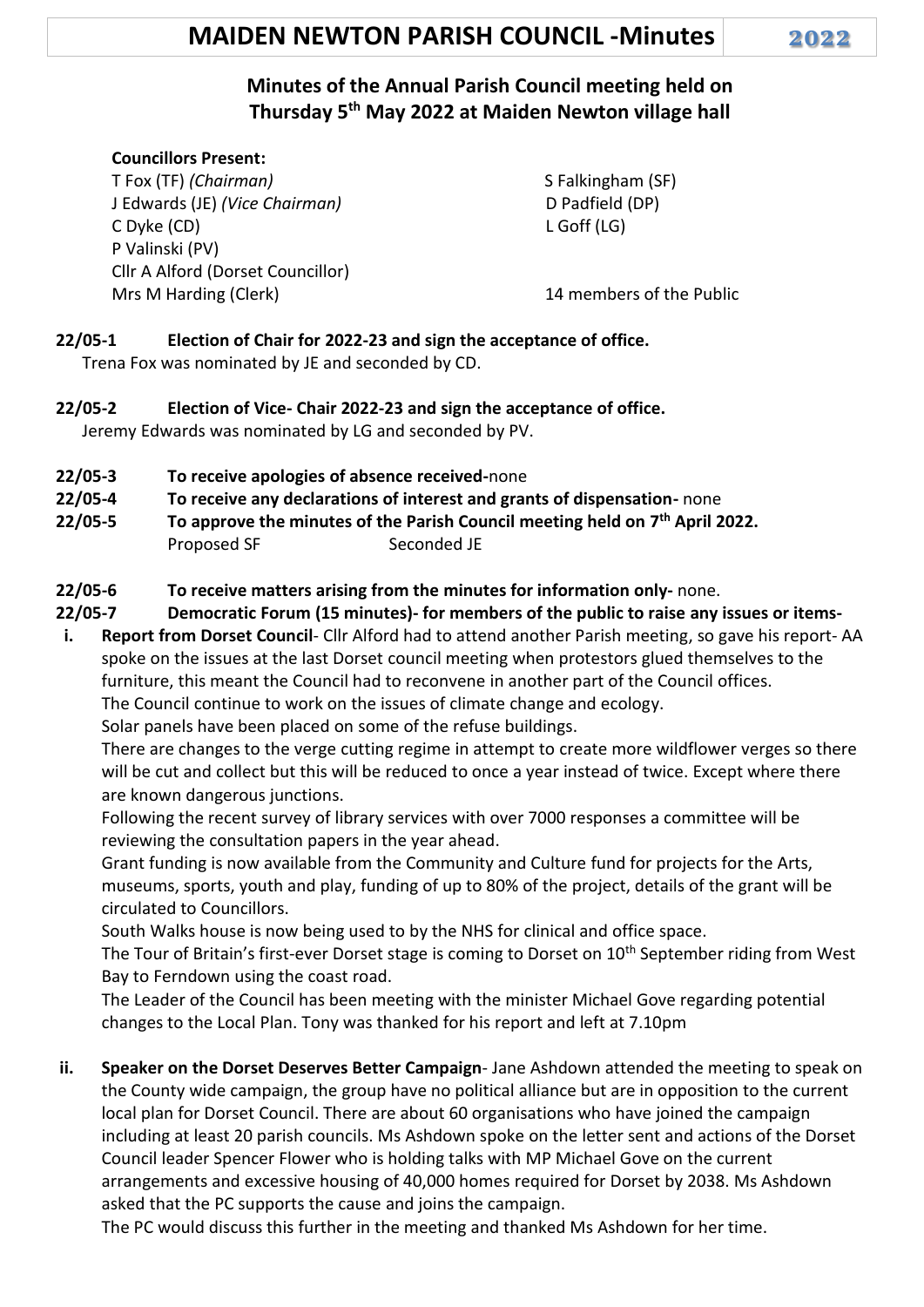# **MAIDEN NEWTON PARISH COUNCIL -Minutes 2022**

# **Minutes of the Annual Parish Council meeting held on Thursday 5 th May 2022 at Maiden Newton village hall**

#### **Councillors Present:**

T Fox (TF) *(Chairman)* J Edwards (JE) *(Vice Chairman)* C Dyke (CD) P Valinski (PV) Cllr A Alford (Dorset Councillor) Mrs M Harding (Clerk)14 members of the Public

 S Falkingham (SF) D Padfield (DP) L Goff (LG)

# **22/05-1 Election of Chair for 2022-23 and sign the acceptance of office.**

Trena Fox was nominated by JE and seconded by CD.

- **22/05-2 Election of Vice- Chair 2022-23 and sign the acceptance of office.** Jeremy Edwards was nominated by LG and seconded by PV.
- **22/05-3 To receive apologies of absence received-**none
- **22/05-4 To receive any declarations of interest and grants of dispensation-** none
- **22/05-5 To approve the minutes of the Parish Council meeting held on 7 th April 2022.** Proposed SF Seconded JE
- **22/05-6 To receive matters arising from the minutes for information only-** none.
- **22/05-7 Democratic Forum (15 minutes)- for members of the public to raise any issues or items-**
- **i. Report from Dorset Council** Cllr Alford had to attend another Parish meeting, so gave his report- AA spoke on the issues at the last Dorset council meeting when protestors glued themselves to the furniture, this meant the Council had to reconvene in another part of the Council offices. The Council continue to work on the issues of climate change and ecology. Solar panels have been placed on some of the refuse buildings.

There are changes to the verge cutting regime in attempt to create more wildflower verges so there will be cut and collect but this will be reduced to once a year instead of twice. Except where there are known dangerous junctions.

Following the recent survey of library services with over 7000 responses a committee will be reviewing the consultation papers in the year ahead.

Grant funding is now available from the Community and Culture fund for projects for the Arts, museums, sports, youth and play, funding of up to 80% of the project, details of the grant will be circulated to Councillors.

South Walks house is now being used to by the NHS for clinical and office space.

The Tour of Britain's first-ever Dorset stage is coming to Dorset on 10<sup>th</sup> September riding from West Bay to Ferndown using the coast road.

The Leader of the Council has been meeting with the minister Michael Gove regarding potential changes to the Local Plan. Tony was thanked for his report and left at 7.10pm

**ii. Speaker on the Dorset Deserves Better Campaign**- Jane Ashdown attended the meeting to speak on the County wide campaign, the group have no political alliance but are in opposition to the current local plan for Dorset Council. There are about 60 organisations who have joined the campaign including at least 20 parish councils. Ms Ashdown spoke on the letter sent and actions of the Dorset Council leader Spencer Flower who is holding talks with MP Michael Gove on the current arrangements and excessive housing of 40,000 homes required for Dorset by 2038. Ms Ashdown asked that the PC supports the cause and joins the campaign.

The PC would discuss this further in the meeting and thanked Ms Ashdown for her time.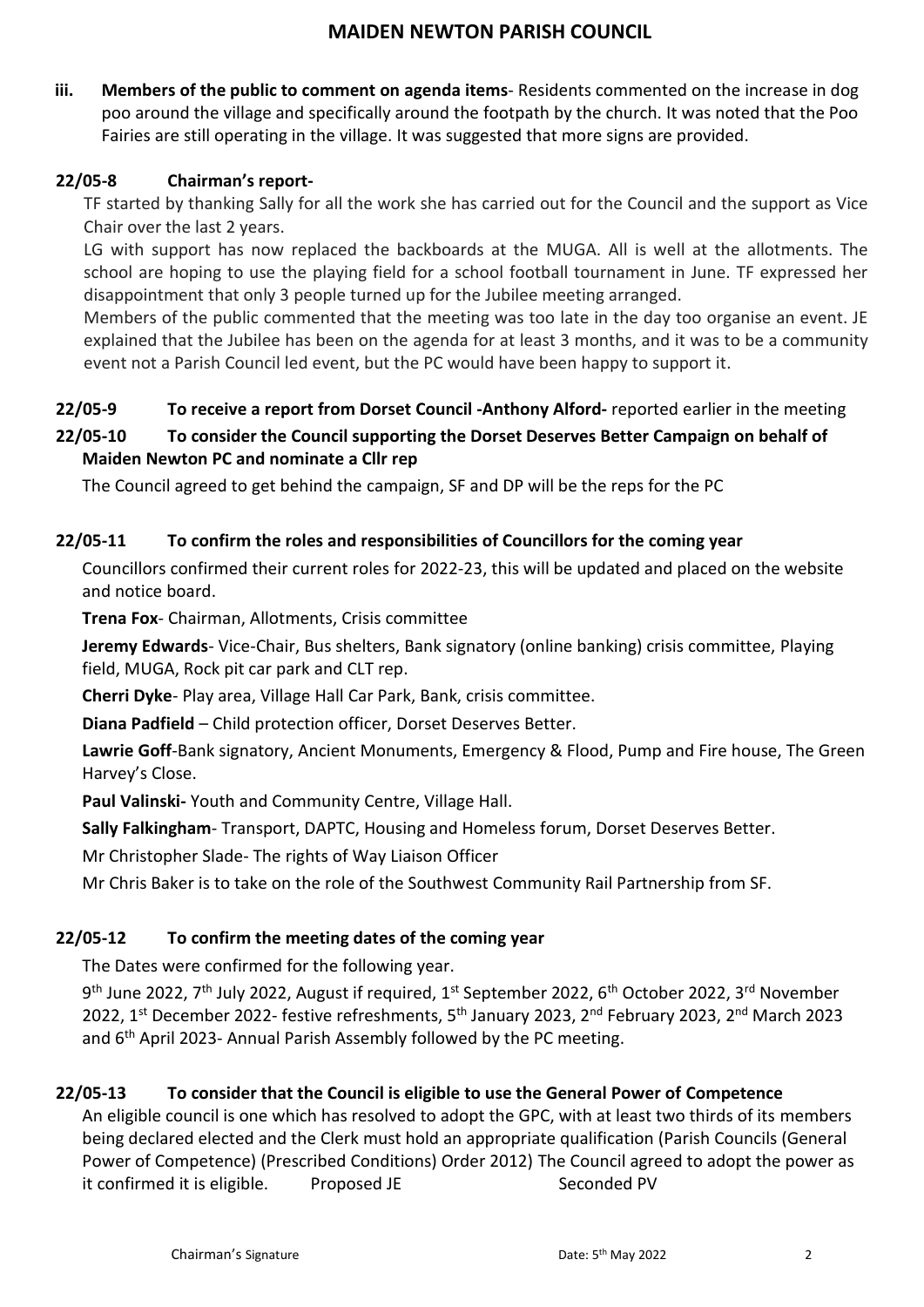**iii. Members of the public to comment on agenda items**- Residents commented on the increase in dog poo around the village and specifically around the footpath by the church. It was noted that the Poo Fairies are still operating in the village. It was suggested that more signs are provided.

### **22/05-8 Chairman's report-**

TF started by thanking Sally for all the work she has carried out for the Council and the support as Vice Chair over the last 2 years.

LG with support has now replaced the backboards at the MUGA. All is well at the allotments. The school are hoping to use the playing field for a school football tournament in June. TF expressed her disappointment that only 3 people turned up for the Jubilee meeting arranged.

Members of the public commented that the meeting was too late in the day too organise an event. JE explained that the Jubilee has been on the agenda for at least 3 months, and it was to be a community event not a Parish Council led event, but the PC would have been happy to support it.

# **22/05-9 To receive a report from Dorset Council -Anthony Alford-** reported earlier in the meeting

# **22/05-10 To consider the Council supporting the Dorset Deserves Better Campaign on behalf of Maiden Newton PC and nominate a Cllr rep**

The Council agreed to get behind the campaign, SF and DP will be the reps for the PC

# **22/05-11 To confirm the roles and responsibilities of Councillors for the coming year**

Councillors confirmed their current roles for 2022-23, this will be updated and placed on the website and notice board.

**Trena Fox**- Chairman, Allotments, Crisis committee

**Jeremy Edwards**- Vice-Chair, Bus shelters, Bank signatory (online banking) crisis committee, Playing field, MUGA, Rock pit car park and CLT rep.

**Cherri Dyke**- Play area, Village Hall Car Park, Bank, crisis committee.

**Diana Padfield** – Child protection officer, Dorset Deserves Better.

**Lawrie Goff**-Bank signatory, Ancient Monuments, Emergency & Flood, Pump and Fire house, The Green Harvey's Close.

**Paul Valinski-** Youth and Community Centre, Village Hall.

**Sally Falkingham**- Transport, DAPTC, Housing and Homeless forum, Dorset Deserves Better.

Mr Christopher Slade- The rights of Way Liaison Officer

Mr Chris Baker is to take on the role of the Southwest Community Rail Partnership from SF.

### **22/05-12 To confirm the meeting dates of the coming year**

The Dates were confirmed for the following year.

9<sup>th</sup> June 2022, 7<sup>th</sup> July 2022, August if required, 1<sup>st</sup> September 2022, 6<sup>th</sup> October 2022, 3<sup>rd</sup> November 2022, 1<sup>st</sup> December 2022- festive refreshments, 5<sup>th</sup> January 2023, 2<sup>nd</sup> February 2023, 2<sup>nd</sup> March 2023 and  $6<sup>th</sup>$  April 2023- Annual Parish Assembly followed by the PC meeting.

### **22/05-13 To consider that the Council is eligible to use the General Power of Competence**

An eligible council is one which has resolved to adopt the GPC, with at least two thirds of its members being declared elected and the Clerk must hold an appropriate qualification (Parish Councils (General Power of Competence) (Prescribed Conditions) Order 2012) The Council agreed to adopt the power as it confirmed it is eligible. Proposed JE Seconded PV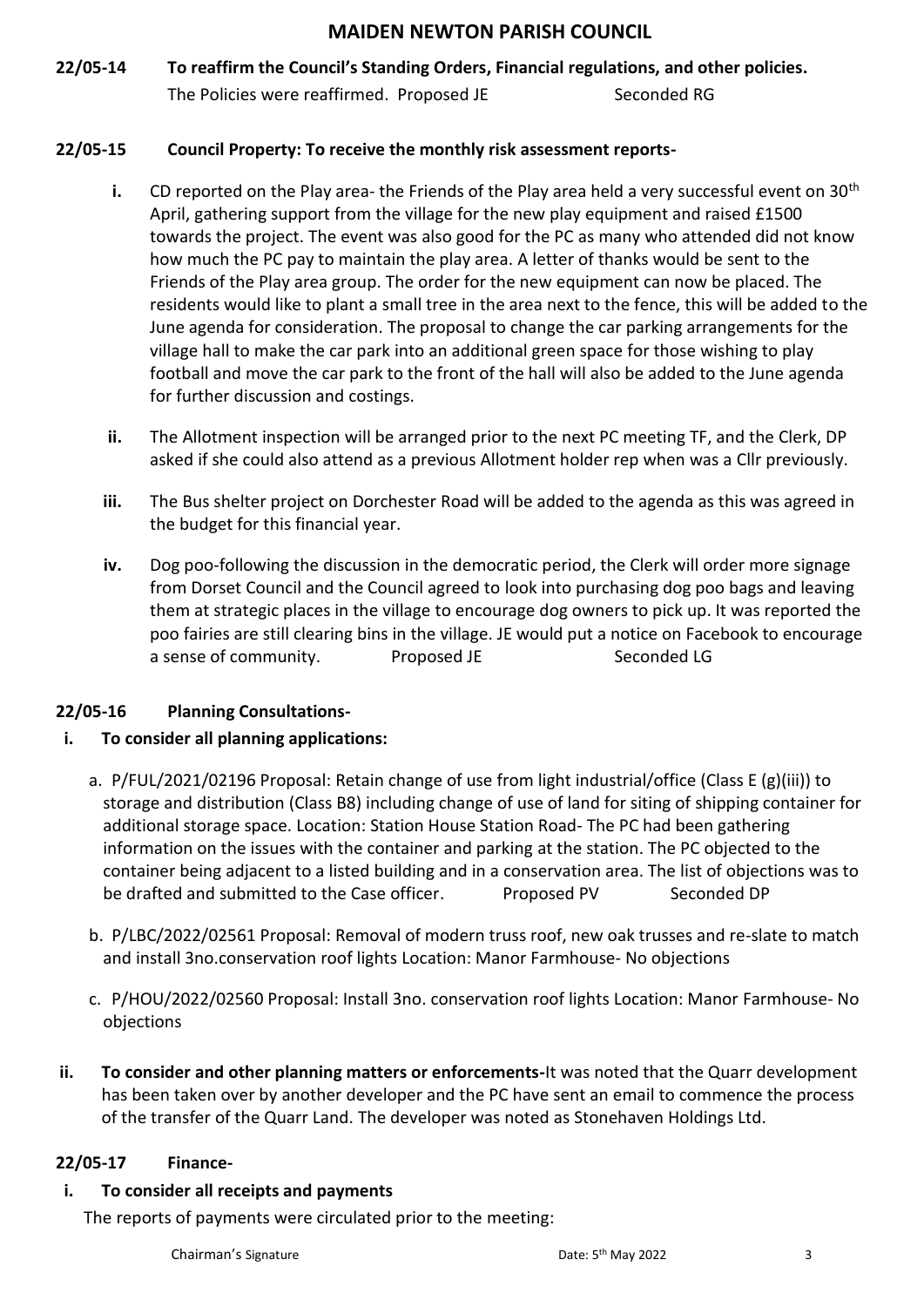# **22/05-14 To reaffirm the Council's Standing Orders, Financial regulations, and other policies.** The Policies were reaffirmed. Proposed JE Seconded RG

#### **22/05-15 Council Property: To receive the monthly risk assessment reports-**

- **i.** CD reported on the Play area- the Friends of the Play area held a very successful event on 30<sup>th</sup> April, gathering support from the village for the new play equipment and raised £1500 towards the project. The event was also good for the PC as many who attended did not know how much the PC pay to maintain the play area. A letter of thanks would be sent to the Friends of the Play area group. The order for the new equipment can now be placed. The residents would like to plant a small tree in the area next to the fence, this will be added to the June agenda for consideration. The proposal to change the car parking arrangements for the village hall to make the car park into an additional green space for those wishing to play football and move the car park to the front of the hall will also be added to the June agenda for further discussion and costings.
- **ii.** The Allotment inspection will be arranged prior to the next PC meeting TF, and the Clerk, DP asked if she could also attend as a previous Allotment holder rep when was a Cllr previously.
- **iii.** The Bus shelter project on Dorchester Road will be added to the agenda as this was agreed in the budget for this financial year.
- **iv.** Dog poo-following the discussion in the democratic period, the Clerk will order more signage from Dorset Council and the Council agreed to look into purchasing dog poo bags and leaving them at strategic places in the village to encourage dog owners to pick up. It was reported the poo fairies are still clearing bins in the village. JE would put a notice on Facebook to encourage a sense of community. The Proposed JE Seconded LG

### **22/05-16 Planning Consultations-**

### **i. To consider all planning applications:**

- a. P/FUL/2021/02196 Proposal: Retain change of use from light industrial/office (Class E (g)(iii)) to storage and distribution (Class B8) including change of use of land for siting of shipping container for additional storage space. Location: Station House Station Road- The PC had been gathering information on the issues with the container and parking at the station. The PC objected to the container being adjacent to a listed building and in a conservation area. The list of objections was to be drafted and submitted to the Case officer. Proposed PV Seconded DP
- b. P/LBC/2022/02561 Proposal: Removal of modern truss roof, new oak trusses and re-slate to match and install 3no.conservation roof lights Location: Manor Farmhouse- No objections
- c. P/HOU/2022/02560 Proposal: Install 3no. conservation roof lights Location: Manor Farmhouse- No objections
- **ii. To consider and other planning matters or enforcements-**It was noted that the Quarr development has been taken over by another developer and the PC have sent an email to commence the process of the transfer of the Quarr Land. The developer was noted as Stonehaven Holdings Ltd.

#### **22/05-17 Finance-**

#### **i. To consider all receipts and payments**

The reports of payments were circulated prior to the meeting: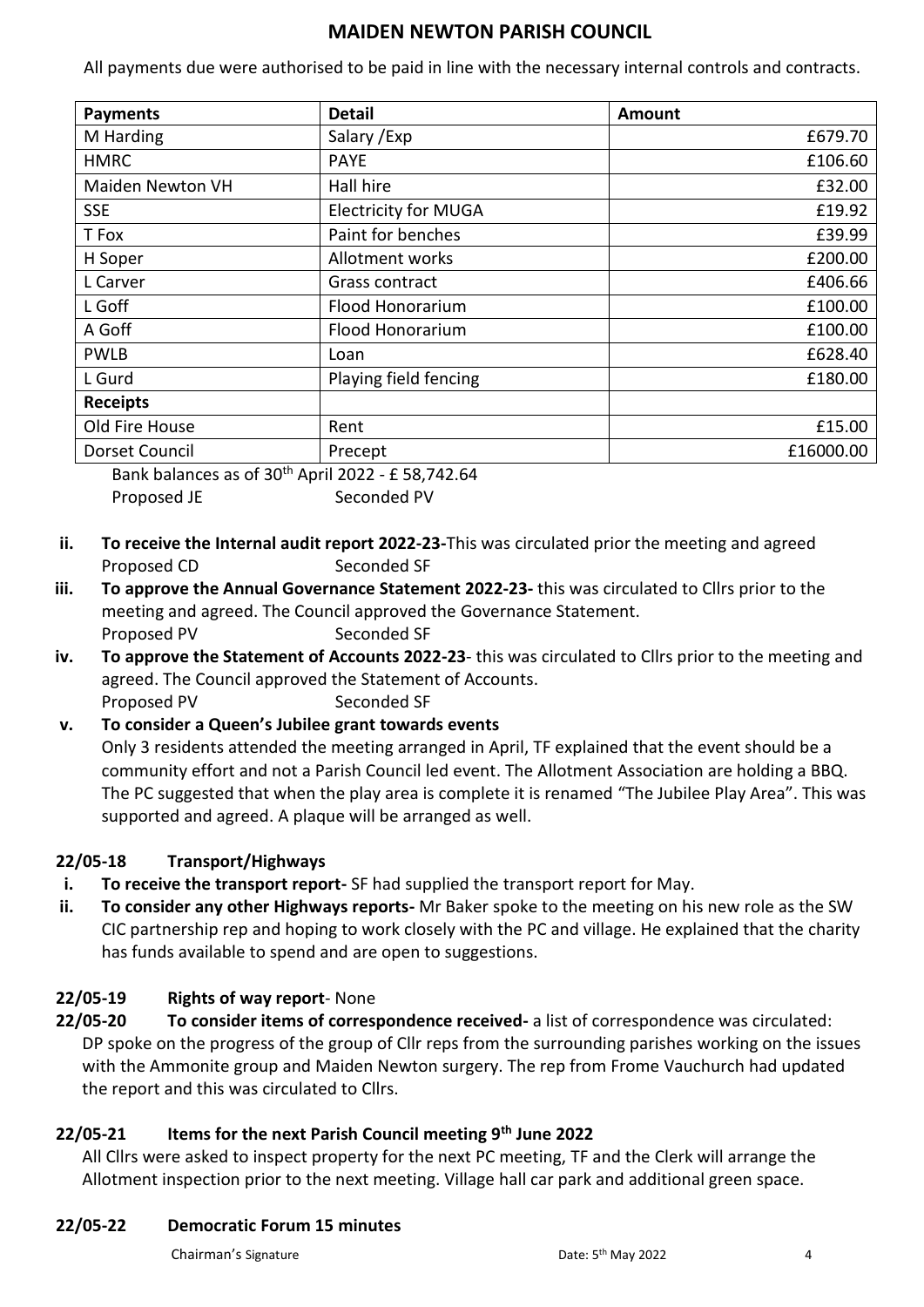All payments due were authorised to be paid in line with the necessary internal controls and contracts.

| <b>Payments</b>                                                             | <b>Detail</b>               | Amount    |
|-----------------------------------------------------------------------------|-----------------------------|-----------|
| M Harding                                                                   | Salary / Exp                | £679.70   |
| <b>HMRC</b>                                                                 | <b>PAYE</b>                 | £106.60   |
| <b>Maiden Newton VH</b>                                                     | Hall hire                   | £32.00    |
| <b>SSE</b>                                                                  | <b>Electricity for MUGA</b> | £19.92    |
| T Fox                                                                       | Paint for benches           | £39.99    |
| H Soper                                                                     | Allotment works             | £200.00   |
| L Carver                                                                    | Grass contract              | £406.66   |
| L Goff                                                                      | Flood Honorarium            | £100.00   |
| A Goff                                                                      | Flood Honorarium            | £100.00   |
| <b>PWLB</b>                                                                 | Loan                        | £628.40   |
| L Gurd                                                                      | Playing field fencing       | £180.00   |
| <b>Receipts</b>                                                             |                             |           |
| Old Fire House                                                              | Rent                        | £15.00    |
| Dorset Council                                                              | Precept                     | £16000.00 |
| $P_{\text{c}}$ , the lease case of 20 <sup>th</sup> As 31,2022, CFO 742, CA |                             |           |

Bank balances as of 30<sup>th</sup> April 2022 - £ 58,742.64 Proposed JE Seconded PV

- **ii. To receive the Internal audit report 2022-23-**This was circulated prior the meeting and agreed Proposed CD Seconded SF
- **iii. To approve the Annual Governance Statement 2022-23-** this was circulated to Cllrs prior to the meeting and agreed. The Council approved the Governance Statement. Proposed PV Seconded SF
- **iv. To approve the Statement of Accounts 2022-23** this was circulated to Cllrs prior to the meeting and agreed. The Council approved the Statement of Accounts. Proposed PV Seconded SF

# **v. To consider a Queen's Jubilee grant towards events** Only 3 residents attended the meeting arranged in April, TF explained that the event should be a community effort and not a Parish Council led event. The Allotment Association are holding a BBQ. The PC suggested that when the play area is complete it is renamed "The Jubilee Play Area". This was supported and agreed. A plaque will be arranged as well.

# **22/05-18 Transport/Highways**

- **i. To receive the transport report-** SF had supplied the transport report for May.
- **ii. To consider any other Highways reports-** Mr Baker spoke to the meeting on his new role as the SW CIC partnership rep and hoping to work closely with the PC and village. He explained that the charity has funds available to spend and are open to suggestions.

# **22/05-19 Rights of way report**- None

**22/05-20 To consider items of correspondence received-** a list of correspondence was circulated: DP spoke on the progress of the group of Cllr reps from the surrounding parishes working on the issues with the Ammonite group and Maiden Newton surgery. The rep from Frome Vauchurch had updated the report and this was circulated to Cllrs.

# **22/05-21 Items for the next Parish Council meeting 9th June 2022**

All Cllrs were asked to inspect property for the next PC meeting, TF and the Clerk will arrange the Allotment inspection prior to the next meeting. Village hall car park and additional green space.

# **22/05-22 Democratic Forum 15 minutes**